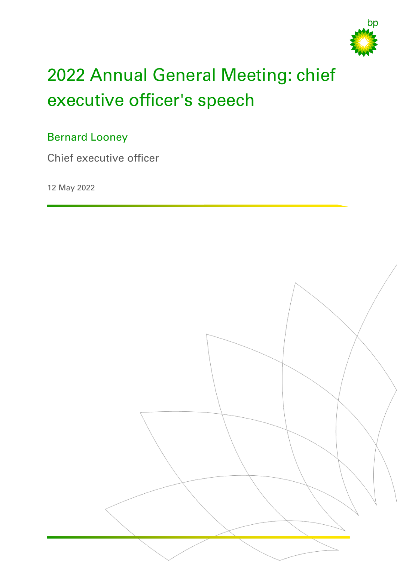

# 2022 Annual General Meeting: chief executive officer's speech

# Bernard Looney

Chief executive officer

12 May 2022

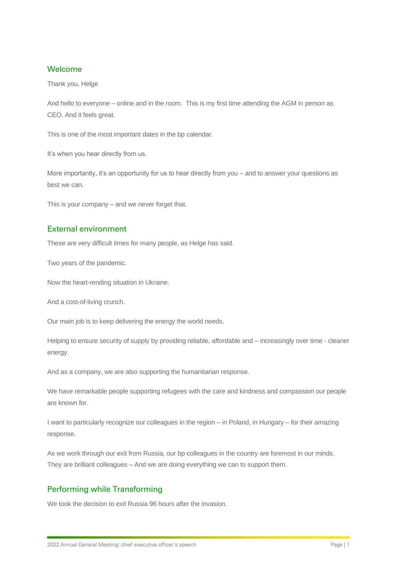#### Welcome

Thank you, Helge

And hello to everyone – online and in the room. This is my first time attending the AGM in person as CEO. And it feels great.

This is one of the most important dates in the bp calendar.

It's when you hear directly from us.

More importantly, it's an opportunity for us to hear directly from you – and to answer your questions as best we can.

This is your company – and we never forget that.

# External environment

These are very difficult times for many people, as Helge has said.

Two years of the pandemic.

Now the heart-rending situation in Ukraine.

And a cost-of-living crunch.

Our main job is to keep delivering the energy the world needs.

Helping to ensure security of supply by providing reliable, affordable and – increasingly over time - cleaner energy.

And as a company, we are also supporting the humanitarian response.

We have remarkable people supporting refugees with the care and kindness and compassion our people are known for.

I want to particularly recognize our colleagues in the region – in Poland, in Hungary – for their amazing response.

As we work through our exit from Russia, our bp colleagues in the country are foremost in our minds. They are brilliant colleagues – And we are doing everything we can to support them.

# Performing while Transforming

We took the decision to exit Russia 96 hours after the invasion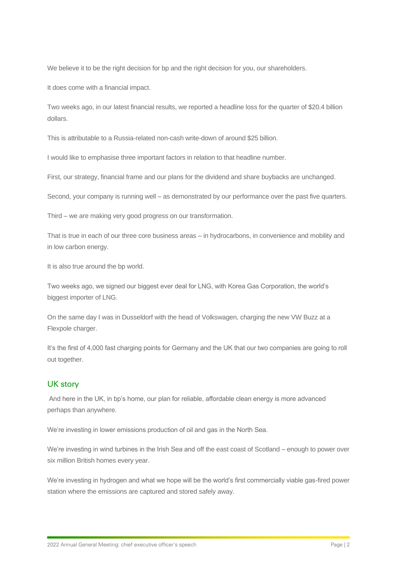We believe it to be the right decision for bp and the right decision for you, our shareholders.

It does come with a financial impact.

Two weeks ago, in our latest financial results, we reported a headline loss for the quarter of \$20.4 billion dollars.

This is attributable to a Russia-related non-cash write-down of around \$25 billion.

I would like to emphasise three important factors in relation to that headline number.

First, our strategy, financial frame and our plans for the dividend and share buybacks are unchanged.

Second, your company is running well – as demonstrated by our performance over the past five quarters.

Third – we are making very good progress on our transformation.

That is true in each of our three core business areas – in hydrocarbons, in convenience and mobility and in low carbon energy.

It is also true around the bp world.

Two weeks ago, we signed our biggest ever deal for LNG, with Korea Gas Corporation, the world's biggest importer of LNG.

On the same day I was in Dusseldorf with the head of Volkswagen, charging the new VW Buzz at a Flexpole charger.

It's the first of 4,000 fast charging points for Germany and the UK that our two companies are going to roll out together.

# UK story

And here in the UK, in bp's home, our plan for reliable, affordable clean energy is more advanced perhaps than anywhere.

We're investing in lower emissions production of oil and gas in the North Sea.

We're investing in wind turbines in the Irish Sea and off the east coast of Scotland – enough to power over six million British homes every year.

We're investing in hydrogen and what we hope will be the world's first commercially viable gas-fired power station where the emissions are captured and stored safely away.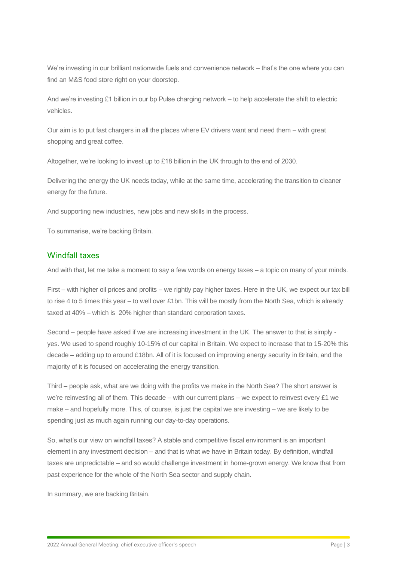We're investing in our brilliant nationwide fuels and convenience network – that's the one where you can find an M&S food store right on your doorstep.

And we're investing £1 billion in our bp Pulse charging network – to help accelerate the shift to electric vehicles.

Our aim is to put fast chargers in all the places where EV drivers want and need them – with great shopping and great coffee.

Altogether, we're looking to invest up to £18 billion in the UK through to the end of 2030.

Delivering the energy the UK needs today, while at the same time, accelerating the transition to cleaner energy for the future.

And supporting new industries, new jobs and new skills in the process.

To summarise, we're backing Britain.

#### Windfall taxes

And with that, let me take a moment to say a few words on energy taxes – a topic on many of your minds.

First – with higher oil prices and profits – we rightly pay higher taxes. Here in the UK, we expect our tax bill to rise 4 to 5 times this year – to well over £1bn. This will be mostly from the North Sea, which is already taxed at 40% – which is 20% higher than standard corporation taxes.

Second – people have asked if we are increasing investment in the UK. The answer to that is simply yes. We used to spend roughly 10-15% of our capital in Britain. We expect to increase that to 15-20% this decade – adding up to around £18bn. All of it is focused on improving energy security in Britain, and the majority of it is focused on accelerating the energy transition.

Third – people ask, what are we doing with the profits we make in the North Sea? The short answer is we're reinvesting all of them. This decade – with our current plans – we expect to reinvest every £1 we make – and hopefully more. This, of course, is just the capital we are investing – we are likely to be spending just as much again running our day-to-day operations.

So, what's our view on windfall taxes? A stable and competitive fiscal environment is an important element in any investment decision – and that is what we have in Britain today. By definition, windfall taxes are unpredictable – and so would challenge investment in home-grown energy. We know that from past experience for the whole of the North Sea sector and supply chain.

In summary, we are backing Britain.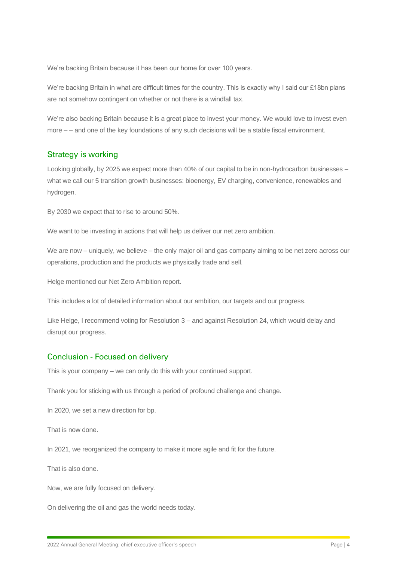We're backing Britain because it has been our home for over 100 years.

We're backing Britain in what are difficult times for the country. This is exactly why I said our £18bn plans are not somehow contingent on whether or not there is a windfall tax.

We're also backing Britain because it is a great place to invest your money. We would love to invest even more – – and one of the key foundations of any such decisions will be a stable fiscal environment.

## Strategy is working

Looking globally, by 2025 we expect more than 40% of our capital to be in non-hydrocarbon businesses – what we call our 5 transition growth businesses: bioenergy, EV charging, convenience, renewables and hydrogen.

By 2030 we expect that to rise to around 50%.

We want to be investing in actions that will help us deliver our net zero ambition.

We are now – uniquely, we believe – the only major oil and gas company aiming to be net zero across our operations, production and the products we physically trade and sell.

Helge mentioned our Net Zero Ambition report.

This includes a lot of detailed information about our ambition, our targets and our progress.

Like Helge, I recommend voting for Resolution 3 – and against Resolution 24, which would delay and disrupt our progress.

## Conclusion - Focused on delivery

This is your company – we can only do this with your continued support.

Thank you for sticking with us through a period of profound challenge and change.

In 2020, we set a new direction for bp.

That is now done.

In 2021, we reorganized the company to make it more agile and fit for the future.

That is also done.

Now, we are fully focused on delivery.

On delivering the oil and gas the world needs today.